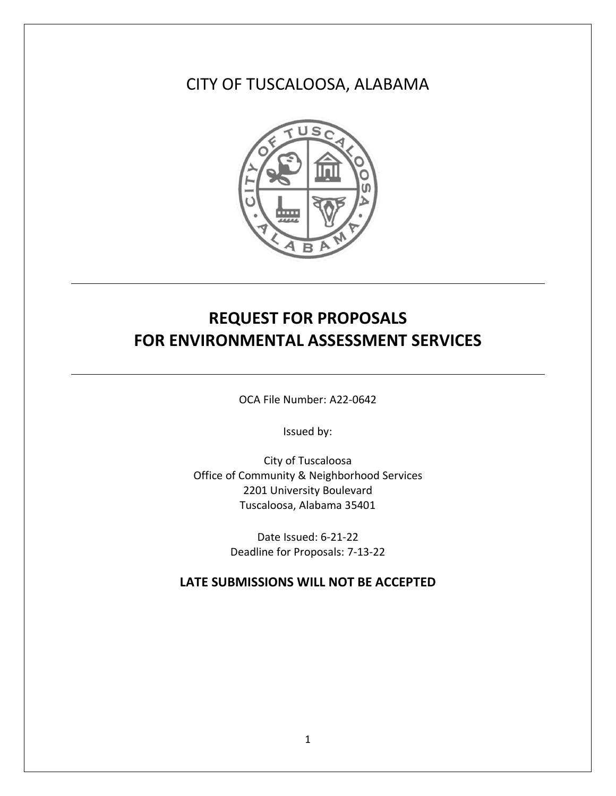## CITY OF TUSCALOOSA, ALABAMA



# **REQUEST FOR PROPOSALS FOR ENVIRONMENTAL ASSESSMENT SERVICES**

OCA File Number: A22-0642

Issued by:

City of Tuscaloosa Office of Community & Neighborhood Services 2201 University Boulevard Tuscaloosa, Alabama 35401

> Date Issued: 6-21-22 Deadline for Proposals: 7-13-22

**LATE SUBMISSIONS WILL NOT BE ACCEPTED**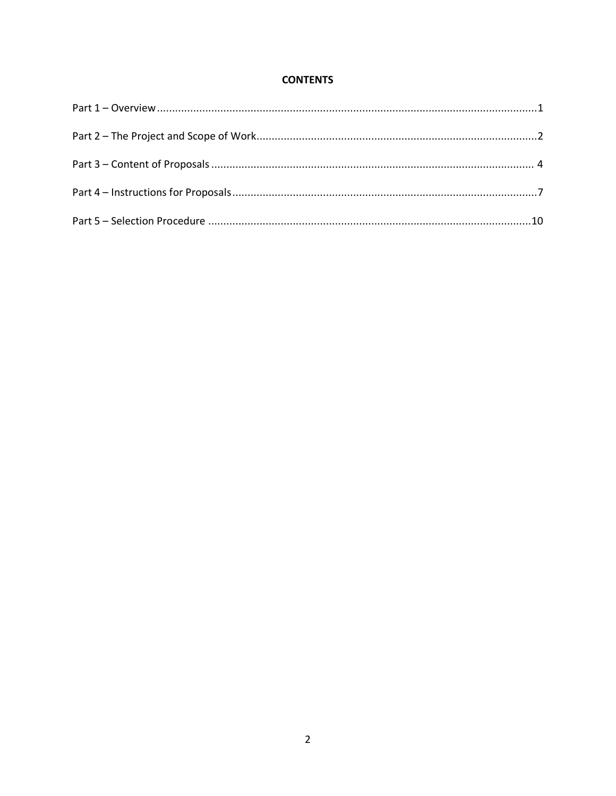## **CONTENTS**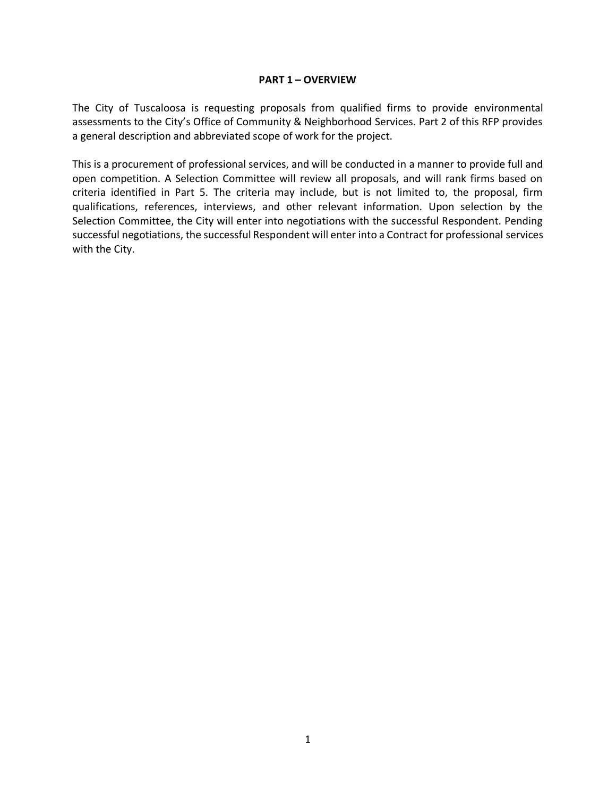#### **PART 1 – OVERVIEW**

The City of Tuscaloosa is requesting proposals from qualified firms to provide environmental assessments to the City's Office of Community & Neighborhood Services. Part 2 of this RFP provides a general description and abbreviated scope of work for the project.

This is a procurement of professional services, and will be conducted in a manner to provide full and open competition. A Selection Committee will review all proposals, and will rank firms based on criteria identified in Part 5. The criteria may include, but is not limited to, the proposal, firm qualifications, references, interviews, and other relevant information. Upon selection by the Selection Committee, the City will enter into negotiations with the successful Respondent. Pending successful negotiations, the successful Respondent will enter into a Contract for professional services with the City.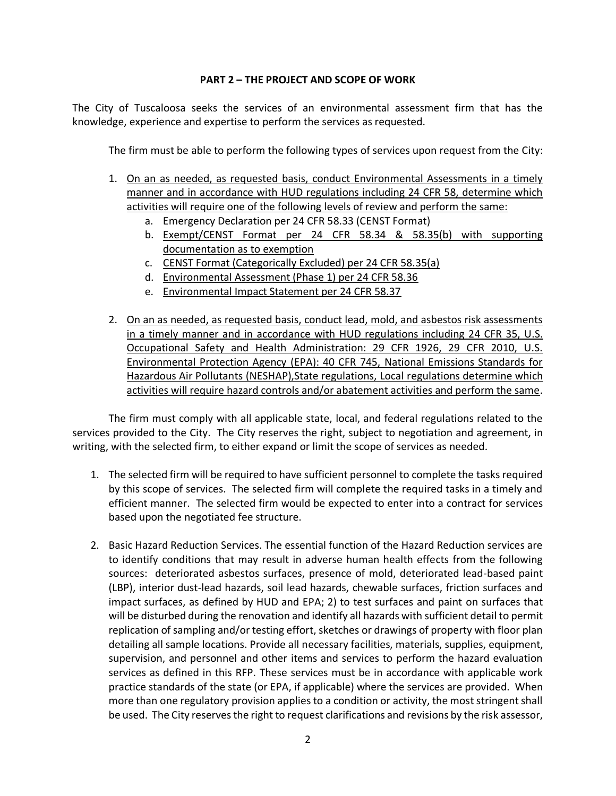#### **PART 2 – THE PROJECT AND SCOPE OF WORK**

The City of Tuscaloosa seeks the services of an environmental assessment firm that has the knowledge, experience and expertise to perform the services as requested.

The firm must be able to perform the following types of services upon request from the City:

- 1. On an as needed, as requested basis, conduct Environmental Assessments in a timely manner and in accordance with HUD regulations including 24 CFR 58, determine which activities will require one of the following levels of review and perform the same:
	- a. Emergency Declaration per 24 CFR 58.33 (CENST Format)
	- b. Exempt/CENST Format per 24 CFR 58.34 & 58.35(b) with supporting documentation as to exemption
	- c. CENST Format (Categorically Excluded) per 24 CFR 58.35(a)
	- d. Environmental Assessment (Phase 1) per 24 CFR 58.36
	- e. Environmental Impact Statement per 24 CFR 58.37
- 2. On an as needed, as requested basis, conduct lead, mold, and asbestos risk assessments in a timely manner and in accordance with HUD regulations including 24 CFR 35, U.S. Occupational Safety and Health Administration: 29 CFR 1926, 29 CFR 2010, U.S. Environmental Protection Agency (EPA): 40 CFR 745, National Emissions Standards for Hazardous Air Pollutants (NESHAP),State regulations, Local regulations determine which activities will require hazard controls and/or abatement activities and perform the same.

The firm must comply with all applicable state, local, and federal regulations related to the services provided to the City. The City reserves the right, subject to negotiation and agreement, in writing, with the selected firm, to either expand or limit the scope of services as needed.

- 1. The selected firm will be required to have sufficient personnel to complete the tasks required by this scope of services. The selected firm will complete the required tasks in a timely and efficient manner. The selected firm would be expected to enter into a contract for services based upon the negotiated fee structure.
- 2. Basic Hazard Reduction Services. The essential function of the Hazard Reduction services are to identify conditions that may result in adverse human health effects from the following sources: deteriorated asbestos surfaces, presence of mold, deteriorated lead-based paint (LBP), interior dust-lead hazards, soil lead hazards, chewable surfaces, friction surfaces and impact surfaces, as defined by HUD and EPA; 2) to test surfaces and paint on surfaces that will be disturbed during the renovation and identify all hazards with sufficient detail to permit replication of sampling and/or testing effort, sketches or drawings of property with floor plan detailing all sample locations. Provide all necessary facilities, materials, supplies, equipment, supervision, and personnel and other items and services to perform the hazard evaluation services as defined in this RFP. These services must be in accordance with applicable work practice standards of the state (or EPA, if applicable) where the services are provided. When more than one regulatory provision applies to a condition or activity, the most stringent shall be used. The City reserves the right to request clarifications and revisions by the risk assessor,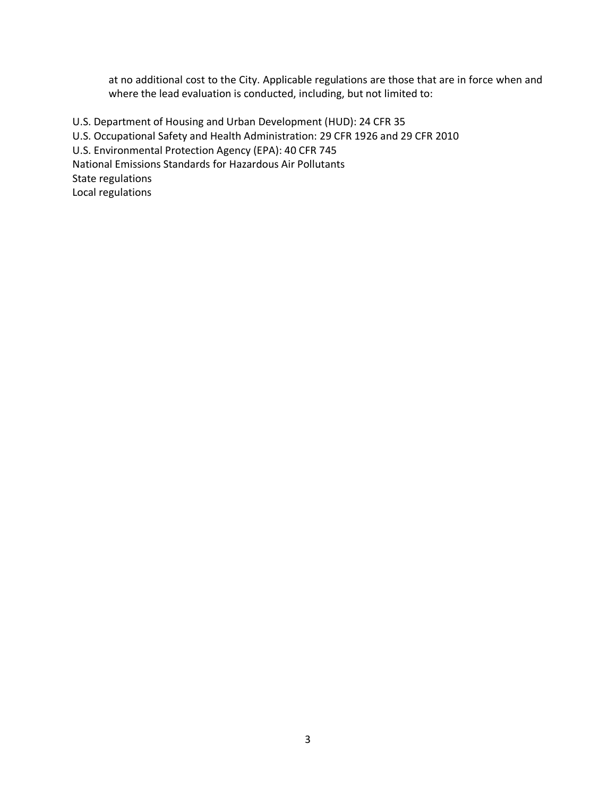at no additional cost to the City. Applicable regulations are those that are in force when and where the lead evaluation is conducted, including, but not limited to:

U.S. Department of Housing and Urban Development (HUD): 24 CFR 35 U.S. Occupational Safety and Health Administration: 29 CFR 1926 and 29 CFR 2010 U.S. Environmental Protection Agency (EPA): 40 CFR 745 National Emissions Standards for Hazardous Air Pollutants State regulations Local regulations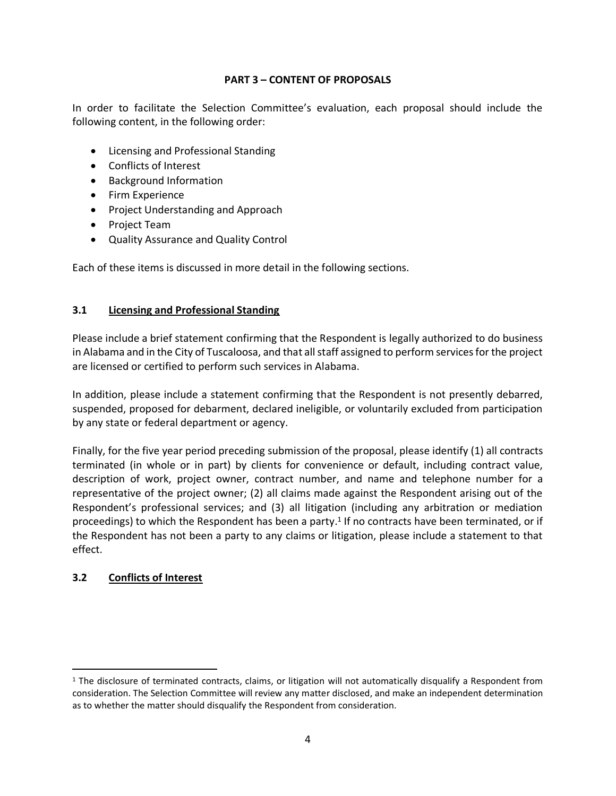#### **PART 3 – CONTENT OF PROPOSALS**

In order to facilitate the Selection Committee's evaluation, each proposal should include the following content, in the following order:

- Licensing and Professional Standing
- Conflicts of Interest
- Background Information
- Firm Experience
- Project Understanding and Approach
- Project Team
- Quality Assurance and Quality Control

Each of these items is discussed in more detail in the following sections.

#### **3.1 Licensing and Professional Standing**

Please include a brief statement confirming that the Respondent is legally authorized to do business in Alabama and in the City of Tuscaloosa, and that all staff assigned to perform services for the project are licensed or certified to perform such services in Alabama.

In addition, please include a statement confirming that the Respondent is not presently debarred, suspended, proposed for debarment, declared ineligible, or voluntarily excluded from participation by any state or federal department or agency.

Finally, for the five year period preceding submission of the proposal, please identify (1) all contracts terminated (in whole or in part) by clients for convenience or default, including contract value, description of work, project owner, contract number, and name and telephone number for a representative of the project owner; (2) all claims made against the Respondent arising out of the Respondent's professional services; and (3) all litigation (including any arbitration or mediation proceedings) to which the Respondent has been a party.<sup>1</sup> If no contracts have been terminated, or if the Respondent has not been a party to any claims or litigation, please include a statement to that effect.

#### **3.2 Conflicts of Interest**

 $1$  The disclosure of terminated contracts, claims, or litigation will not automatically disqualify a Respondent from consideration. The Selection Committee will review any matter disclosed, and make an independent determination as to whether the matter should disqualify the Respondent from consideration.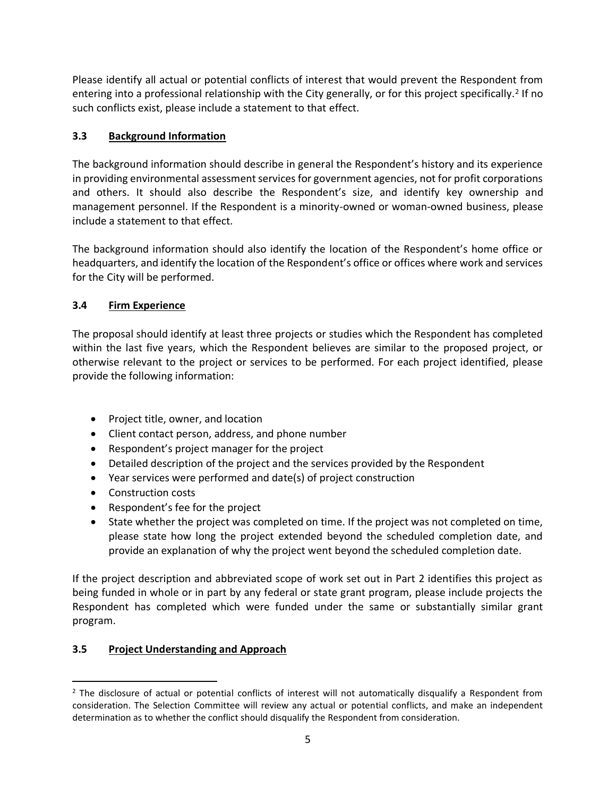Please identify all actual or potential conflicts of interest that would prevent the Respondent from entering into a professional relationship with the City generally, or for this project specifically.<sup>2</sup> If no such conflicts exist, please include a statement to that effect.

## **3.3 Background Information**

The background information should describe in general the Respondent's history and its experience in providing environmental assessment services for government agencies, not for profit corporations and others. It should also describe the Respondent's size, and identify key ownership and management personnel. If the Respondent is a minority-owned or woman-owned business, please include a statement to that effect.

The background information should also identify the location of the Respondent's home office or headquarters, and identify the location of the Respondent's office or offices where work and services for the City will be performed.

## **3.4 Firm Experience**

The proposal should identify at least three projects or studies which the Respondent has completed within the last five years, which the Respondent believes are similar to the proposed project, or otherwise relevant to the project or services to be performed. For each project identified, please provide the following information:

- Project title, owner, and location
- Client contact person, address, and phone number
- Respondent's project manager for the project
- Detailed description of the project and the services provided by the Respondent
- Year services were performed and date(s) of project construction
- Construction costs
- Respondent's fee for the project
- State whether the project was completed on time. If the project was not completed on time, please state how long the project extended beyond the scheduled completion date, and provide an explanation of why the project went beyond the scheduled completion date.

If the project description and abbreviated scope of work set out in Part 2 identifies this project as being funded in whole or in part by any federal or state grant program, please include projects the Respondent has completed which were funded under the same or substantially similar grant program.

## **3.5 Project Understanding and Approach**

<sup>&</sup>lt;sup>2</sup> The disclosure of actual or potential conflicts of interest will not automatically disqualify a Respondent from consideration. The Selection Committee will review any actual or potential conflicts, and make an independent determination as to whether the conflict should disqualify the Respondent from consideration.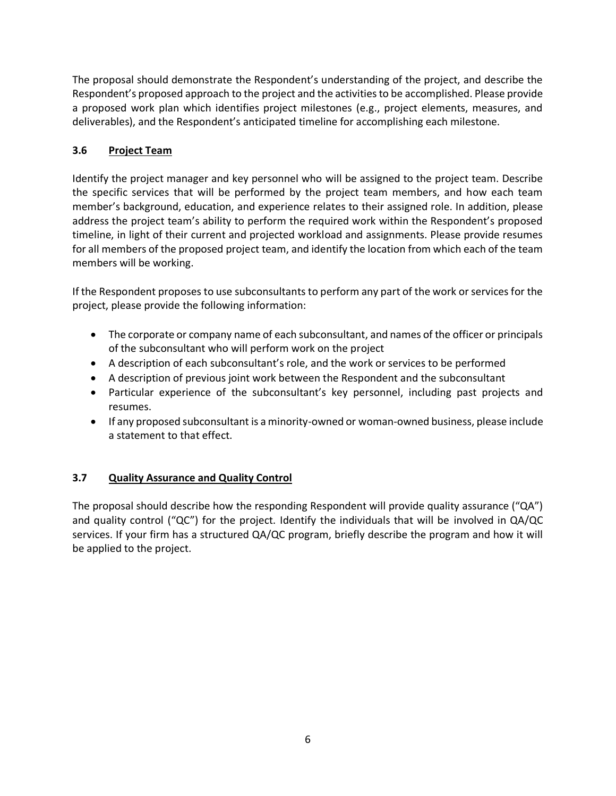The proposal should demonstrate the Respondent's understanding of the project, and describe the Respondent's proposed approach to the project and the activities to be accomplished. Please provide a proposed work plan which identifies project milestones (e.g., project elements, measures, and deliverables), and the Respondent's anticipated timeline for accomplishing each milestone.

## **3.6 Project Team**

Identify the project manager and key personnel who will be assigned to the project team. Describe the specific services that will be performed by the project team members, and how each team member's background, education, and experience relates to their assigned role. In addition, please address the project team's ability to perform the required work within the Respondent's proposed timeline, in light of their current and projected workload and assignments. Please provide resumes for all members of the proposed project team, and identify the location from which each of the team members will be working.

If the Respondent proposes to use subconsultants to perform any part of the work or services for the project, please provide the following information:

- The corporate or company name of each subconsultant, and names of the officer or principals of the subconsultant who will perform work on the project
- A description of each subconsultant's role, and the work or services to be performed
- A description of previous joint work between the Respondent and the subconsultant
- Particular experience of the subconsultant's key personnel, including past projects and resumes.
- If any proposed subconsultant is a minority-owned or woman-owned business, please include a statement to that effect.

## **3.7 Quality Assurance and Quality Control**

The proposal should describe how the responding Respondent will provide quality assurance ("QA") and quality control ("QC") for the project. Identify the individuals that will be involved in QA/QC services. If your firm has a structured QA/QC program, briefly describe the program and how it will be applied to the project.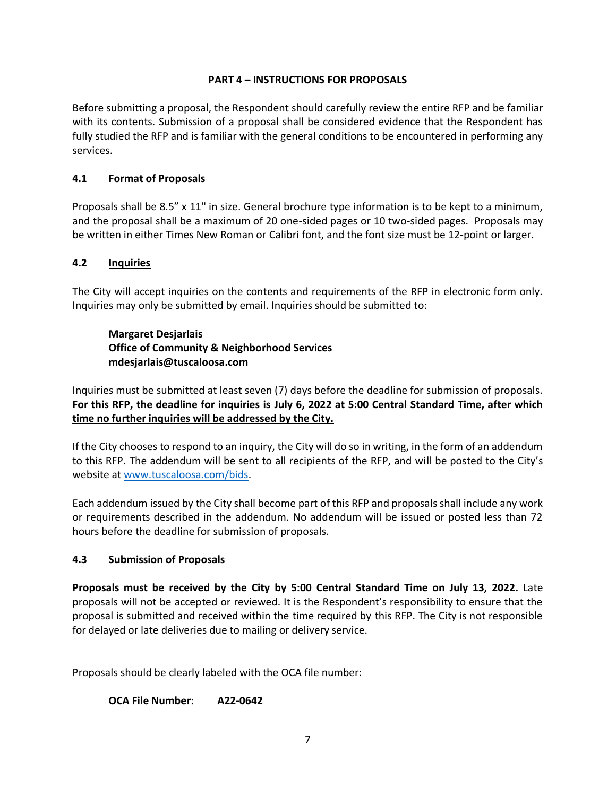#### **PART 4 – INSTRUCTIONS FOR PROPOSALS**

Before submitting a proposal, the Respondent should carefully review the entire RFP and be familiar with its contents. Submission of a proposal shall be considered evidence that the Respondent has fully studied the RFP and is familiar with the general conditions to be encountered in performing any services.

#### **4.1 Format of Proposals**

Proposals shall be 8.5" x 11" in size. General brochure type information is to be kept to a minimum, and the proposal shall be a maximum of 20 one-sided pages or 10 two-sided pages. Proposals may be written in either Times New Roman or Calibri font, and the font size must be 12-point or larger.

#### **4.2 Inquiries**

The City will accept inquiries on the contents and requirements of the RFP in electronic form only. Inquiries may only be submitted by email. Inquiries should be submitted to:

## **Margaret Desjarlais Office of Community & Neighborhood Services mdesjarlais@tuscaloosa.com**

Inquiries must be submitted at least seven (7) days before the deadline for submission of proposals. **For this RFP, the deadline for inquiries is July 6, 2022 at 5:00 Central Standard Time, after which time no further inquiries will be addressed by the City.**

If the City chooses to respond to an inquiry, the City will do so in writing, in the form of an addendum to this RFP. The addendum will be sent to all recipients of the RFP, and will be posted to the City's website at [www.tuscaloosa.com/bids.](http://www.tuscaloosa.com/bids)

Each addendum issued by the City shall become part of this RFP and proposals shall include any work or requirements described in the addendum. No addendum will be issued or posted less than 72 hours before the deadline for submission of proposals.

#### **4.3 Submission of Proposals**

**Proposals must be received by the City by 5:00 Central Standard Time on July 13, 2022.** Late proposals will not be accepted or reviewed. It is the Respondent's responsibility to ensure that the proposal is submitted and received within the time required by this RFP. The City is not responsible for delayed or late deliveries due to mailing or delivery service.

Proposals should be clearly labeled with the OCA file number:

**OCA File Number: A22-0642**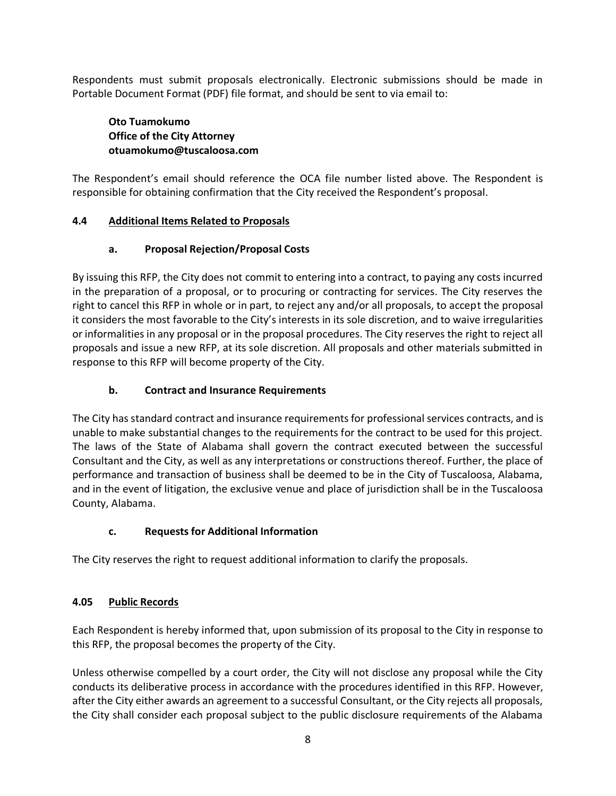Respondents must submit proposals electronically. Electronic submissions should be made in Portable Document Format (PDF) file format, and should be sent to via email to:

#### **Oto Tuamokumo Office of the City Attorney otuamokumo@tuscaloosa.com**

The Respondent's email should reference the OCA file number listed above. The Respondent is responsible for obtaining confirmation that the City received the Respondent's proposal.

#### **4.4 Additional Items Related to Proposals**

#### **a. Proposal Rejection/Proposal Costs**

By issuing this RFP, the City does not commit to entering into a contract, to paying any costs incurred in the preparation of a proposal, or to procuring or contracting for services. The City reserves the right to cancel this RFP in whole or in part, to reject any and/or all proposals, to accept the proposal it considers the most favorable to the City's interests in its sole discretion, and to waive irregularities or informalities in any proposal or in the proposal procedures. The City reserves the right to reject all proposals and issue a new RFP, at its sole discretion. All proposals and other materials submitted in response to this RFP will become property of the City.

## **b. Contract and Insurance Requirements**

The City has standard contract and insurance requirements for professional services contracts, and is unable to make substantial changes to the requirements for the contract to be used for this project. The laws of the State of Alabama shall govern the contract executed between the successful Consultant and the City, as well as any interpretations or constructions thereof. Further, the place of performance and transaction of business shall be deemed to be in the City of Tuscaloosa, Alabama, and in the event of litigation, the exclusive venue and place of jurisdiction shall be in the Tuscaloosa County, Alabama.

## **c. Requests for Additional Information**

The City reserves the right to request additional information to clarify the proposals.

## **4.05 Public Records**

Each Respondent is hereby informed that, upon submission of its proposal to the City in response to this RFP, the proposal becomes the property of the City.

Unless otherwise compelled by a court order, the City will not disclose any proposal while the City conducts its deliberative process in accordance with the procedures identified in this RFP. However, after the City either awards an agreement to a successful Consultant, or the City rejects all proposals, the City shall consider each proposal subject to the public disclosure requirements of the Alabama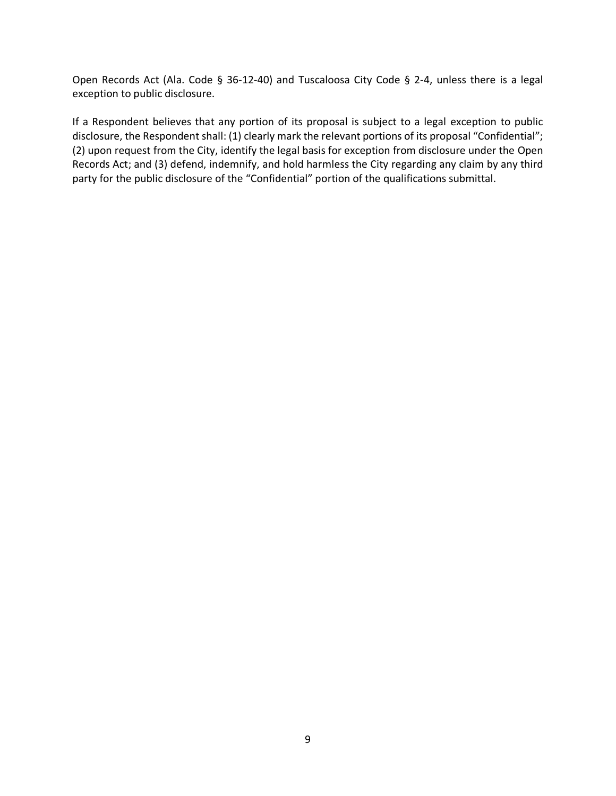Open Records Act (Ala. Code § 36-12-40) and Tuscaloosa City Code § 2-4, unless there is a legal exception to public disclosure.

If a Respondent believes that any portion of its proposal is subject to a legal exception to public disclosure, the Respondent shall: (1) clearly mark the relevant portions of its proposal "Confidential"; (2) upon request from the City, identify the legal basis for exception from disclosure under the Open Records Act; and (3) defend, indemnify, and hold harmless the City regarding any claim by any third party for the public disclosure of the "Confidential" portion of the qualifications submittal.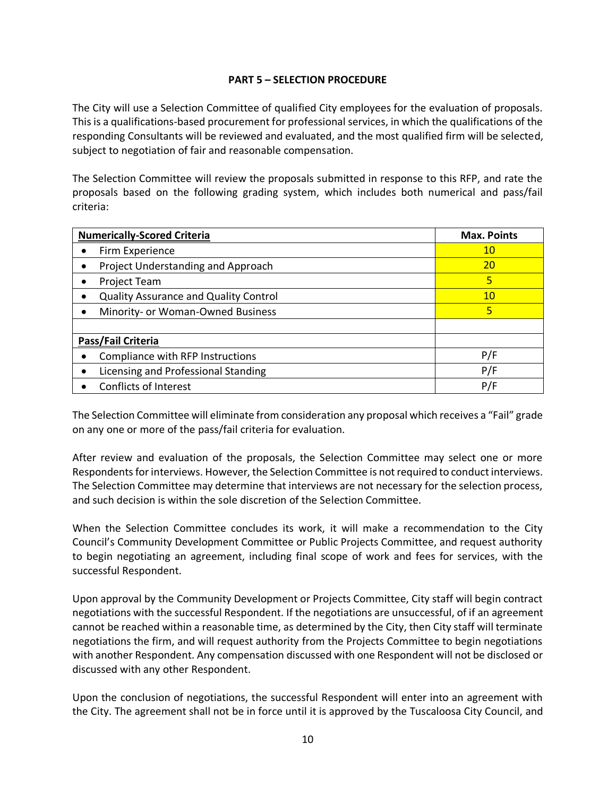#### **PART 5 – SELECTION PROCEDURE**

The City will use a Selection Committee of qualified City employees for the evaluation of proposals. This is a qualifications-based procurement for professional services, in which the qualifications of the responding Consultants will be reviewed and evaluated, and the most qualified firm will be selected, subject to negotiation of fair and reasonable compensation.

The Selection Committee will review the proposals submitted in response to this RFP, and rate the proposals based on the following grading system, which includes both numerical and pass/fail criteria:

| <b>Numerically-Scored Criteria</b>           | <b>Max. Points</b> |
|----------------------------------------------|--------------------|
| Firm Experience                              | 10                 |
| Project Understanding and Approach           | <b>20</b>          |
| <b>Project Team</b>                          | 5                  |
| <b>Quality Assurance and Quality Control</b> | 10 <sup>°</sup>    |
| Minority- or Woman-Owned Business            | 5                  |
|                                              |                    |
| Pass/Fail Criteria                           |                    |
| Compliance with RFP Instructions             | P/F                |
| Licensing and Professional Standing          | P/F                |
| <b>Conflicts of Interest</b>                 | P/F                |

The Selection Committee will eliminate from consideration any proposal which receives a "Fail" grade on any one or more of the pass/fail criteria for evaluation.

After review and evaluation of the proposals, the Selection Committee may select one or more Respondents for interviews. However, the Selection Committee is not required to conduct interviews. The Selection Committee may determine that interviews are not necessary for the selection process, and such decision is within the sole discretion of the Selection Committee.

When the Selection Committee concludes its work, it will make a recommendation to the City Council's Community Development Committee or Public Projects Committee, and request authority to begin negotiating an agreement, including final scope of work and fees for services, with the successful Respondent.

Upon approval by the Community Development or Projects Committee, City staff will begin contract negotiations with the successful Respondent. If the negotiations are unsuccessful, of if an agreement cannot be reached within a reasonable time, as determined by the City, then City staff will terminate negotiations the firm, and will request authority from the Projects Committee to begin negotiations with another Respondent. Any compensation discussed with one Respondent will not be disclosed or discussed with any other Respondent.

Upon the conclusion of negotiations, the successful Respondent will enter into an agreement with the City. The agreement shall not be in force until it is approved by the Tuscaloosa City Council, and